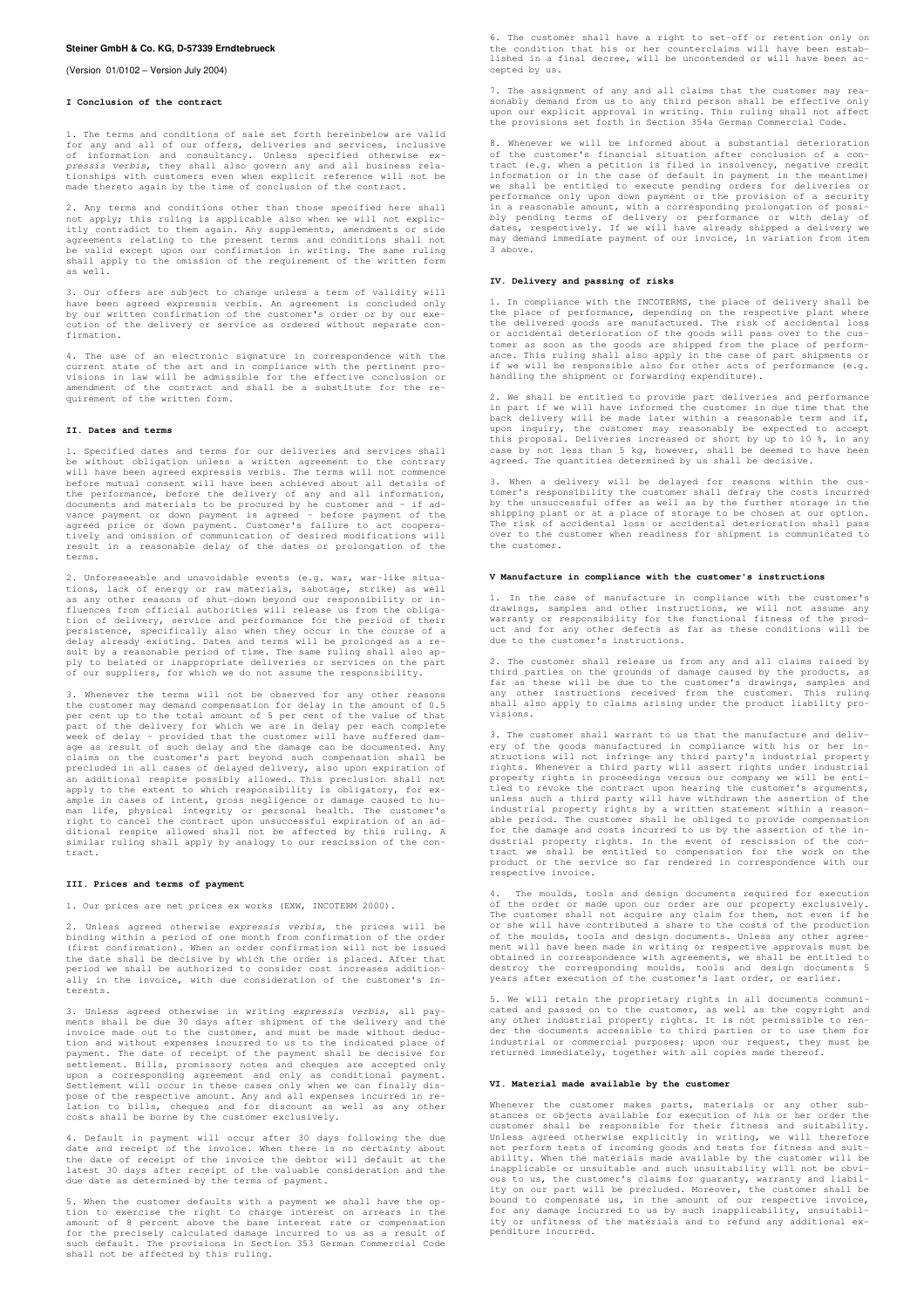(Version 01/0102 – Version July 2004)

## **I Conclusion of the contract**

1. The terms and conditions of sale set forth hereinbelow are valid<br>for any and all of our offers, deliveries and services, inclusive<br>of information and consultancy. Unless specified otherwise ex-<br>pressis verbis, they shal

Any terms and conditions other than those specified here shall not apply; this ruling is applicable also when we will not explicitly contradict to them again. Any supplements, amendments or side agreements relating to the present terms and conditions shall not be valid except upon our confirmation in writing. The same ruling shall apply to the omission of the requirement of the written form as well.

3. Our offers are subject to change unless a term of validity will have been agreed expressis verbis. An agreement is concluded only by our written confirmation of the customer's order or by our execution of the delivery or service as ordered without separate confirmation.

4. The use of an electronic signature in correspondence with the current state of the art and in compliance with the pertinent pro-<br>visions in law will be admissible for the effective conclusion or<br>amendment of the contrac

#### **II. Dates and terms**

1. Specified dates and terms for our deliveries and services shall be without obligation unless a written agreement to the contrary will have been agreed expressis verbis. The terms will not commence before mutual consent will have been achieved about all details of<br>the performance, before the delivery of any and all information,<br>documents and materials to be procured by he customer and - if ad-<br>vance payment or down p result in a reasonable delay of the dates or prolongation of the terms.

2. Unforeseeable and unavoidable events (e.g. war, war-like situa-<br>tions, lack of energy or raw materials, sabotage, strike) as well<br>as any other reasons of shut-down beyond our responsibility or in-<br>fluences from official tion of delivery, service and performance for the period of their<br>persistence, specifically also when they occur in the course of a<br>delay already existing. Dates and terms will be prolonged as a re-<br>sult by a reasonable pe

Whenever the terms will not be observed for any other reasons the customer may demand compensation for delay in the amount of 0.5 per cent up to the total amount of 5 per cent of the value of that part of the delivery for which we are in delay per each complete week of delay – provided that the customer will have suffered dam-age as result of such delay and the damage can be documented. Any claims on the customer's part beyond such compensation shall be<br>precluded in all cases of delayed delivery, also upon expiration of<br>an additional respite possibly allowed. This preclusion shall not<br>apply to the extent to w ample in cases of intent, gross negligence or damage caused to human life, physical integrity or personal health. The customer's<br>right to cancel the contract upon unsuccessful expiration of an ad-<br>ditional respite allowed shall not be affected by this ruling. A<br>similar ruling shall appl tract.

# **III. Prices and terms of payment**

1. Our prices are net prices ex works (EXW, INCOTERM 2000).

2. Unless agreed otherwise expressis verbis, the prices will be binding within a period of one month from confirmation of the order (first confirmation). When an order confirmation will not be issued the date shall be decisive by which the order is placed. After that<br>period we shall be authorized to consider cost increases addition-<br>ally in the invoice, with due consideration of the customer's interests.

3. Unless agreed otherwise in writing expressis verbis, all payments shall be due 30 days after shipment of the delivery and the invoice made out to the customer, and must be made without deduc-<br>tion and without expenses i payment. The date of receipt of the payment shall be decisive for settlement. Bills, promissory notes and cheques are accepted only upon a corresponding agreement and only as conditional payment.<br>Settlement will occur in these cases only when we can finally dis-<br>pose of the respective amount. Any and all expenses incurred in re-<br>lation to bills, cheque

4. Default in payment will occur after 30 days following the due<br>date and receipt of the invoice. When there is no certainty about<br>the date of receipt of the invoice the debtor will default at the<br>latest 30 days after rece due date as determined by the terms of payment.

5. When the customer defaults with a payment we shall have the option to exercise the right to charge interest on arrears in t amount of 8 percent above the base interest rate or compensation<br>for the precisely calculated damage incurred to us as a result of<br>such default. The provisions in Section 353 German Commercial Code<br>shall not be affected by

6. The customer shall have a right to set-off or retention only on the condition that his or her counterclaims will have been estab-lished in a final decree, will be uncontended or will have been accepted by us.

7. The assignment of any and all claims that the customer may rea-sonably demand from us to any third person shall be effective only upon our explicit approval in writing. This ruling shall not affect the provisions set forth in Section 354a German Commercial Code.

8. Whenever we will be informed about a substantial deterioration of the customer's financial situation after conclusion of a contract (e.g. when a petition is filed in insolvency, negative credit<br>information or in the case of default in payment in the meantime)<br>we shall be entitled to execute pending orders for deliveries or<br>performance only upon d in a reasonable amount, with a corresponding prolongation of possi-<br>bly pending terms of delivery or performance or with delay of<br>dates, respectively. If we will have already shipped a delivery we<br>may demand immediate paym

### **IV. Delivery and passing of risks**

1. In compliance with the INCOTERMS, the place of delivery shall be the place of performance, depending on the respective plant where the delivered goods are manufactured. The risk of accidental loss or accidental deterioration of the goods will pass over to the cus-<br>tomer as soon as the goods are shipped from the place of perform-<br>ance. This ruling shall also apply in the case of part shipments or<br>if we will be respon handling the shipment or forwarding expenditure).

2. We shall be entitled to provide part deliveries and performance in part if we will have informed the customer in due time that the In part if we will have informed the castomer in due time that the<br>back delivery will be made later within a reasonable term and if, upon inquiry, the customer may reasonably be expected to accept this proposal. Deliveries increased or short by up to 10 %, in any case by not less than 5 kg, however, shall be deemed to have been agreed. The quantities determined by us shall be decisive.

3. When a delivery will be delayed for reasons within the customer's responsibility the customer shall defray the costs incurred<br>by the unsuccessful offer as well as by the further storage in the<br>shipping plant or at a place of storage to be chosen at our option.<br>The risk of acciden over to the customer when readiness for shipment is communicated to the customer.

### **V Manufacture in compliance with the customer's instructions**

1. In the case of manufacture in compliance with the customer's drawings, samples and other instructions, we will not assume any warranty or responsibility for the functional fitness of the prod-<br>uct and for any other defects as far as these conditions will be<br>due to the customer's ins

The customer shall release us from any and all claims raised by third parties on the grounds of damage caused by the products, as<br>far as these will be due to the customer's drawings, samples and<br>any other instructions received from the customer. This ruling<br>shall also apply to claims a visions.

3. The customer shall warrant to us that the manufacture and delivery of the goods manufactured in compliance with his or her instructions will not infringe any third party's industrial property<br>rights. Whenever a third party will assert rights under industrial<br>property rights in proceed tled to revoke the contract upon hearing the customer's arguments,<br>unless such a third party will have withdrawn the assertion of the<br>industrial property rights by a written statement within a reason-<br>able period. The cust for the damage and costs incurred to us by the assertion of the in-dustrial property rights. In the event of rescission of the con-tract we shall be entitled to compensation for the work on the product or the service so far rendered in correspondence with our respective invoice.

4. The moulds, tools and design documents required for execution of the order or made upon our order are our property exclusively. The customer shall not acquire any claim for them, not even if he or she will have contributed a share to the costs of the production of the moulds, tools and design documents. Unless any other agree-ment will have been made in writing or respective approvals must be obtained in correspondence with agreements, we shall be entitled to destroy the corresponding moulds, tools and design documents 5 years after execution of the customer's last order, or earlier.

5. We will retain the proprietary rights in all documents communicated and passed on to the customer, as well as the copyright and<br>any other industrial property rights. It is not permissible to ren-<br>der the documents accessible to third parties or to use them for<br>industrial or commercia

#### **VI. Material made available by the customer**

Whenever the customer makes parts, materials or any other substances or objects available for execution of his or her order the<br>customer shall be responsible for their fitness and suitability.<br>Unless agreed otherwise explicitly in writing, we will therefore<br>not perform tests of inco ability. When the materials made available by the customer will be inapplicable or unsuitable and such unsuitability will not be obvi-ous to us, the customer's claims for guaranty, warranty and liabil-ity on our part will be precluded. Moreover, the customer shall be bound to compensate us, in the amount of our respective invoice,<br>for any damage incurred to us by such inapplicability, unsuitabil-<br>ity or unfitness of the materials and to refund any additional expenditure incurred.